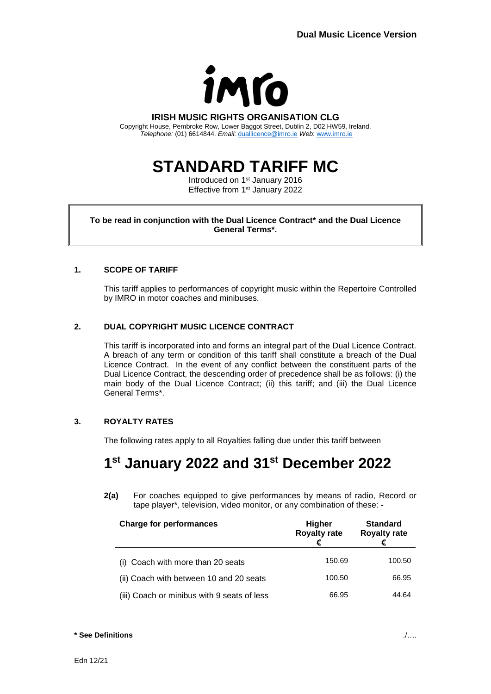

#### **IRISH MUSIC RIGHTS ORGANISATION CLG**

Copyright House, Pembroke Row, Lower Baggot Street, Dublin 2, D02 HW59, Ireland. *Telephone:* (01) 6614844. *Email:* [duallicence@imro.ie](mailto:duallicence@imro.ie) *Web*: [www.imro.ie](http://www.imro.ie/)

# **STANDARD TARIFF MC**

Introduced on 1<sup>st</sup> January 2016 Effective from 1<sup>st</sup> January 2022

### **To be read in conjunction with the Dual Licence Contract\* and the Dual Licence General Terms\*.**

### **1. SCOPE OF TARIFF**

This tariff applies to performances of copyright music within the Repertoire Controlled by IMRO in motor coaches and minibuses.

### **2. DUAL COPYRIGHT MUSIC LICENCE CONTRACT**

This tariff is incorporated into and forms an integral part of the Dual Licence Contract. A breach of any term or condition of this tariff shall constitute a breach of the Dual Licence Contract. In the event of any conflict between the constituent parts of the Dual Licence Contract, the descending order of precedence shall be as follows: (i) the main body of the Dual Licence Contract; (ii) this tariff; and (iii) the Dual Licence General Terms\*.

## **3. ROYALTY RATES**

The following rates apply to all Royalties falling due under this tariff between

# **1 st January 2022 and 31st December 2022**

**2(a)** For coaches equipped to give performances by means of radio, Record or tape player\*, television, video monitor, or any combination of these: -

| <b>Charge for performances</b>              | <b>Higher</b><br><b>Royalty rate</b><br>€ | <b>Standard</b><br><b>Royalty rate</b> |
|---------------------------------------------|-------------------------------------------|----------------------------------------|
| Coach with more than 20 seats<br>(i)        | 150.69                                    | 100.50                                 |
| (ii) Coach with between 10 and 20 seats     | 100.50                                    | 66.95                                  |
| (iii) Coach or minibus with 9 seats of less | 66.95                                     | 44.64                                  |